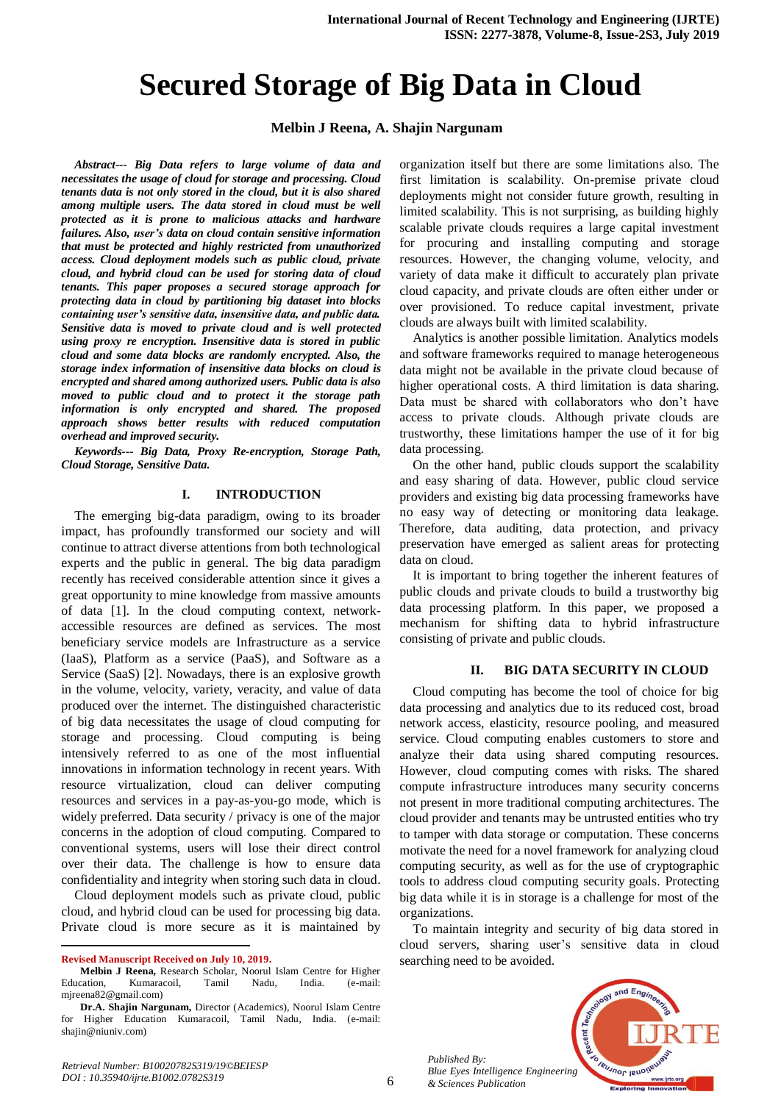# **Secured Storage of Big Data in Cloud**

## **Melbin J Reena, A. Shajin Nargunam**

*Abstract--- Big Data refers to large volume of data and necessitates the usage of cloud for storage and processing. Cloud tenants data is not only stored in the cloud, but it is also shared among multiple users. The data stored in cloud must be well protected as it is prone to malicious attacks and hardware failures. Also, user's data on cloud contain sensitive information that must be protected and highly restricted from unauthorized access. Cloud deployment models such as public cloud, private cloud, and hybrid cloud can be used for storing data of cloud tenants. This paper proposes a secured storage approach for protecting data in cloud by partitioning big dataset into blocks containing user's sensitive data, insensitive data, and public data. Sensitive data is moved to private cloud and is well protected using proxy re encryption. Insensitive data is stored in public cloud and some data blocks are randomly encrypted. Also, the storage index information of insensitive data blocks on cloud is encrypted and shared among authorized users. Public data is also moved to public cloud and to protect it the storage path information is only encrypted and shared. The proposed approach shows better results with reduced computation overhead and improved security.*

*Keywords--- Big Data, Proxy Re-encryption, Storage Path, Cloud Storage, Sensitive Data.*

#### **I. INTRODUCTION**

The emerging big-data paradigm, owing to its broader impact, has profoundly transformed our society and will continue to attract diverse attentions from both technological experts and the public in general. The big data paradigm recently has received considerable attention since it gives a great opportunity to mine knowledge from massive amounts of data [1]. In the cloud computing context, networkaccessible resources are defined as services. The most beneficiary service models are Infrastructure as a service (IaaS), Platform as a service (PaaS), and Software as a Service (SaaS) [2]. Nowadays, there is an explosive growth in the volume, velocity, variety, veracity, and value of data produced over the internet. The distinguished characteristic of big data necessitates the usage of cloud computing for storage and processing. Cloud computing is being intensively referred to as one of the most influential innovations in information technology in recent years. With resource virtualization, cloud can deliver computing resources and services in a pay-as-you-go mode, which is widely preferred. Data security / privacy is one of the major concerns in the adoption of cloud computing. Compared to conventional systems, users will lose their direct control over their data. The challenge is how to ensure data confidentiality and integrity when storing such data in cloud.

Cloud deployment models such as private cloud, public cloud, and hybrid cloud can be used for processing big data. Private cloud is more secure as it is maintained by

 $\overline{a}$ 

organization itself but there are some limitations also. The first limitation is scalability. On-premise private cloud deployments might not consider future growth, resulting in limited scalability. This is not surprising, as building highly scalable private clouds requires a large capital investment for procuring and installing computing and storage resources. However, the changing volume, velocity, and variety of data make it difficult to accurately plan private cloud capacity, and private clouds are often either under or over provisioned. To reduce capital investment, private clouds are always built with limited scalability.

Analytics is another possible limitation. Analytics models and software frameworks required to manage heterogeneous data might not be available in the private cloud because of higher operational costs. A third limitation is data sharing. Data must be shared with collaborators who don't have access to private clouds. Although private clouds are trustworthy, these limitations hamper the use of it for big data processing.

On the other hand, public clouds support the scalability and easy sharing of data. However, public cloud service providers and existing big data processing frameworks have no easy way of detecting or monitoring data leakage. Therefore, data auditing, data protection, and privacy preservation have emerged as salient areas for protecting data on cloud.

It is important to bring together the inherent features of public clouds and private clouds to build a trustworthy big data processing platform. In this paper, we proposed a mechanism for shifting data to hybrid infrastructure consisting of private and public clouds.

## **II. BIG DATA SECURITY IN CLOUD**

Cloud computing has become the tool of choice for big data processing and analytics due to its reduced cost, broad network access, elasticity, resource pooling, and measured service. Cloud computing enables customers to store and analyze their data using shared computing resources. However, cloud computing comes with risks. The shared compute infrastructure introduces many security concerns not present in more traditional computing architectures. The cloud provider and tenants may be untrusted entities who try to tamper with data storage or computation. These concerns motivate the need for a novel framework for analyzing cloud computing security, as well as for the use of cryptographic tools to address cloud computing security goals. Protecting big data while it is in storage is a challenge for most of the organizations.

To maintain integrity and security of big data stored in cloud servers, sharing user's sensitive data in cloud searching need to be avoided.

*Published By: Blue Eyes Intelligence Engineering & Sciences Publication* 



**Revised Manuscript Received on July 10, 2019.**

**Melbin J Reena,** Research Scholar, Noorul Islam Centre for Higher Education, Kumaracoil, Tamil Nadu, India. (e-mail: [mjreena82@gmail.com\)](mailto:mjreena82@gmail.com)

**Dr.A. Shajin Nargunam,** Director (Academics), Noorul Islam Centre for Higher Education Kumaracoil, Tamil Nadu, India. (e-mail: [shajin@niuniv.com\)](mailto:shajin@niuniv.com)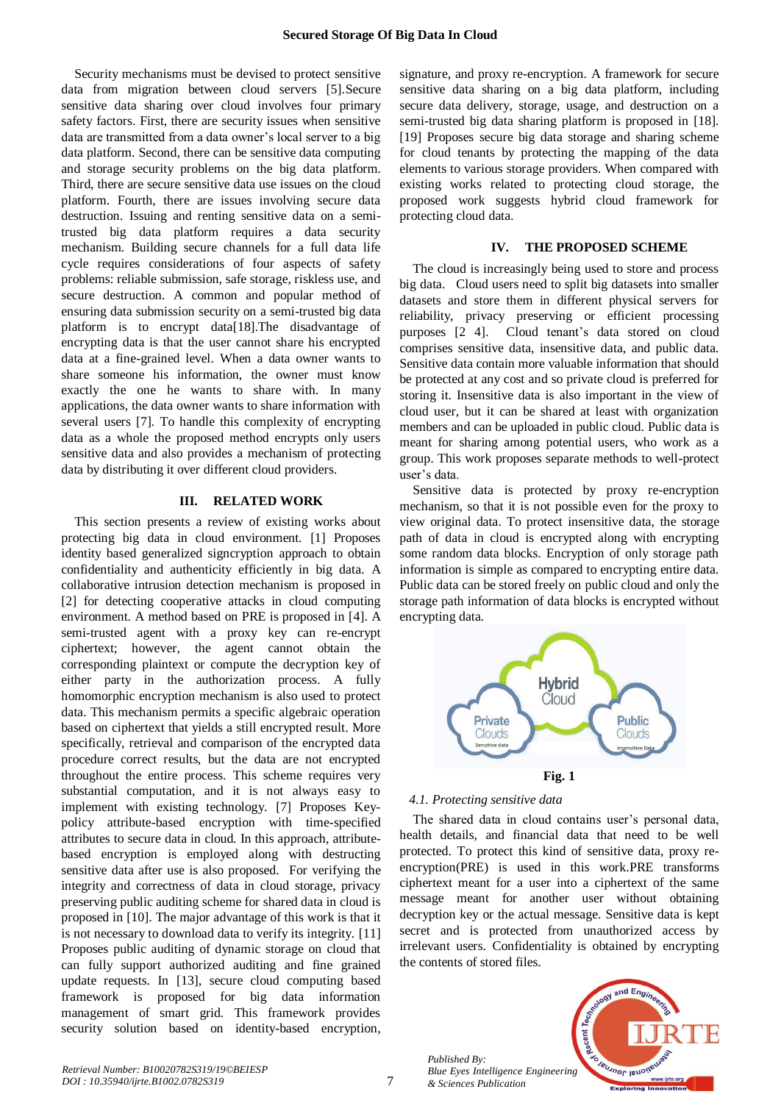Security mechanisms must be devised to protect sensitive data from migration between cloud servers [5].Secure sensitive data sharing over cloud involves four primary safety factors. First, there are security issues when sensitive data are transmitted from a data owner's local server to a big data platform. Second, there can be sensitive data computing and storage security problems on the big data platform. Third, there are secure sensitive data use issues on the cloud platform. Fourth, there are issues involving secure data destruction. Issuing and renting sensitive data on a semitrusted big data platform requires a data security mechanism. Building secure channels for a full data life cycle requires considerations of four aspects of safety problems: reliable submission, safe storage, riskless use, and secure destruction. A common and popular method of ensuring data submission security on a semi-trusted big data platform is to encrypt data[18].The disadvantage of encrypting data is that the user cannot share his encrypted data at a fine-grained level. When a data owner wants to share someone his information, the owner must know exactly the one he wants to share with. In many applications, the data owner wants to share information with several users [7]. To handle this complexity of encrypting data as a whole the proposed method encrypts only users sensitive data and also provides a mechanism of protecting data by distributing it over different cloud providers.

## **III. RELATED WORK**

This section presents a review of existing works about protecting big data in cloud environment. [1] Proposes identity based generalized signcryption approach to obtain confidentiality and authenticity efficiently in big data. A collaborative intrusion detection mechanism is proposed in [2] for detecting cooperative attacks in cloud computing environment. A method based on PRE is proposed in [4]. A semi-trusted agent with a proxy key can re-encrypt ciphertext; however, the agent cannot obtain the corresponding plaintext or compute the decryption key of either party in the authorization process. A fully homomorphic encryption mechanism is also used to protect data. This mechanism permits a specific algebraic operation based on ciphertext that yields a still encrypted result. More specifically, retrieval and comparison of the encrypted data procedure correct results, but the data are not encrypted throughout the entire process. This scheme requires very substantial computation, and it is not always easy to implement with existing technology. [7] Proposes Keypolicy attribute-based encryption with time-specified attributes to secure data in cloud. In this approach, attributebased encryption is employed along with destructing sensitive data after use is also proposed. For verifying the integrity and correctness of data in cloud storage, privacy preserving public auditing scheme for shared data in cloud is proposed in [10]. The major advantage of this work is that it is not necessary to download data to verify its integrity. [11] Proposes public auditing of dynamic storage on cloud that can fully support authorized auditing and fine grained update requests. In [13], secure cloud computing based framework is proposed for big data information management of smart grid. This framework provides security solution based on identity-based encryption,

signature, and proxy re-encryption. A framework for secure sensitive data sharing on a big data platform, including secure data delivery, storage, usage, and destruction on a semi-trusted big data sharing platform is proposed in [18]. [19] Proposes secure big data storage and sharing scheme for cloud tenants by protecting the mapping of the data elements to various storage providers. When compared with existing works related to protecting cloud storage, the proposed work suggests hybrid cloud framework for protecting cloud data.

#### **IV. THE PROPOSED SCHEME**

The cloud is increasingly being used to store and process big data. Cloud users need to split big datasets into smaller datasets and store them in different physical servers for reliability, privacy preserving or efficient processing purposes [2 4]. Cloud tenant's data stored on cloud comprises sensitive data, insensitive data, and public data. Sensitive data contain more valuable information that should be protected at any cost and so private cloud is preferred for storing it. Insensitive data is also important in the view of cloud user, but it can be shared at least with organization members and can be uploaded in public cloud. Public data is meant for sharing among potential users, who work as a group. This work proposes separate methods to well-protect user's data.

Sensitive data is protected by proxy re-encryption mechanism, so that it is not possible even for the proxy to view original data. To protect insensitive data, the storage path of data in cloud is encrypted along with encrypting some random data blocks. Encryption of only storage path information is simple as compared to encrypting entire data. Public data can be stored freely on public cloud and only the storage path information of data blocks is encrypted without encrypting data.



# *4.1. Protecting sensitive data*

The shared data in cloud contains user's personal data, health details, and financial data that need to be well protected. To protect this kind of sensitive data, proxy reencryption(PRE) is used in this work.PRE transforms ciphertext meant for a user into a ciphertext of the same message meant for another user without obtaining decryption key or the actual message. Sensitive data is kept secret and is protected from unauthorized access by irrelevant users. Confidentiality is obtained by encrypting the contents of stored files.

*Published By: Blue Eyes Intelligence Engineering & Sciences Publication* 

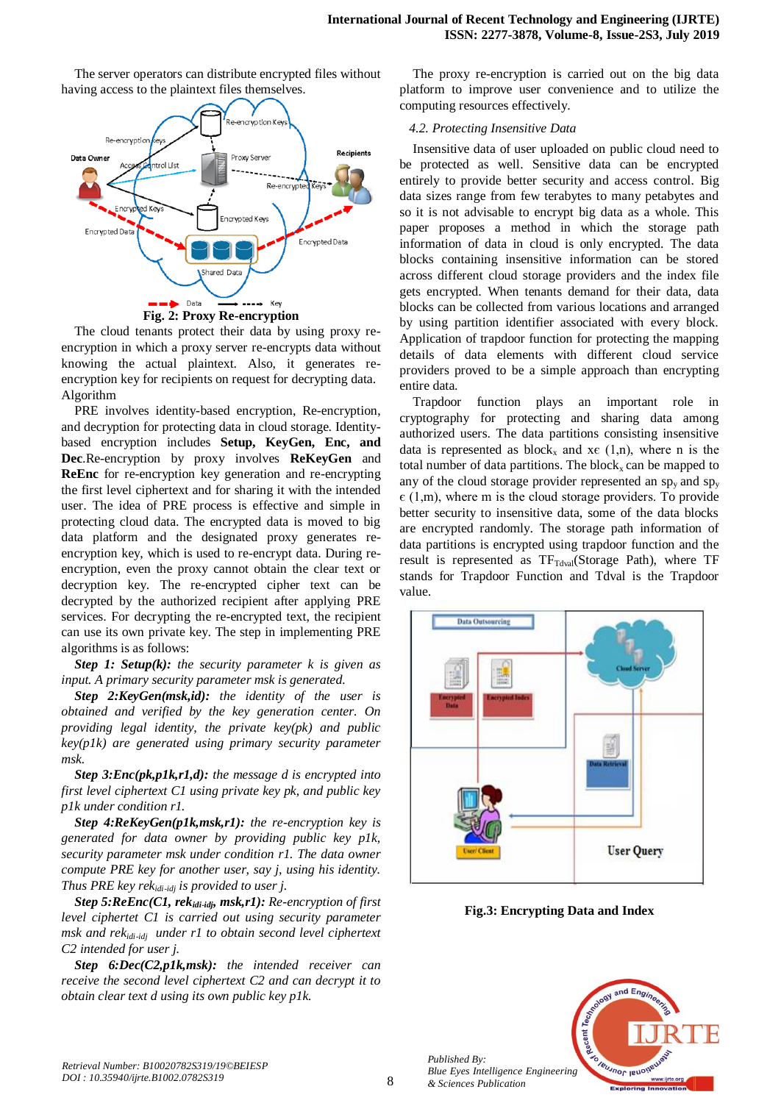The server operators can distribute encrypted files without having access to the plaintext files themselves.



The cloud tenants protect their data by using proxy reencryption in which a proxy server re-encrypts data without knowing the actual plaintext. Also, it generates reencryption key for recipients on request for decrypting data. Algorithm

PRE involves identity-based encryption, Re-encryption, and decryption for protecting data in cloud storage. Identitybased encryption includes **Setup, KeyGen, Enc, and Dec**.Re-encryption by proxy involves **ReKeyGen** and **ReEnc** for re-encryption key generation and re-encrypting the first level ciphertext and for sharing it with the intended user. The idea of PRE process is effective and simple in protecting cloud data. The encrypted data is moved to big data platform and the designated proxy generates reencryption key, which is used to re-encrypt data. During reencryption, even the proxy cannot obtain the clear text or decryption key. The re-encrypted cipher text can be decrypted by the authorized recipient after applying PRE services. For decrypting the re-encrypted text, the recipient can use its own private key. The step in implementing PRE algorithms is as follows:

*Step 1: Setup(k): the security parameter k is given as input. A primary security parameter msk is generated.*

*Step 2:KeyGen(msk,id): the identity of the user is obtained and verified by the key generation center. On providing legal identity, the private key(pk) and public key(p1k) are generated using primary security parameter msk.* 

*Step 3:Enc(pk,p1k,r1,d): the message d is encrypted into first level ciphertext C1 using private key pk, and public key p1k under condition r1.*

*Step 4:ReKeyGen(p1k,msk,r1): the re-encryption key is generated for data owner by providing public key p1k, security parameter msk under condition r1. The data owner compute PRE key for another user, say j, using his identity. Thus PRE key rekidi-idj is provided to user j.* 

*Step 5:ReEnc(C1, rekidi-idj, msk,r1): Re-encryption of first level ciphertet C1 is carried out using security parameter msk and rekidi-idj under r1 to obtain second level ciphertext C2 intended for user j.*

*Step 6:Dec(C2,p1k,msk): the intended receiver can receive the second level ciphertext C2 and can decrypt it to obtain clear text d using its own public key p1k.*

The proxy re-encryption is carried out on the big data platform to improve user convenience and to utilize the computing resources effectively.

#### *4.2. Protecting Insensitive Data*

Insensitive data of user uploaded on public cloud need to be protected as well. Sensitive data can be encrypted entirely to provide better security and access control. Big data sizes range from few terabytes to many petabytes and so it is not advisable to encrypt big data as a whole. This paper proposes a method in which the storage path information of data in cloud is only encrypted. The data blocks containing insensitive information can be stored across different cloud storage providers and the index file gets encrypted. When tenants demand for their data, data blocks can be collected from various locations and arranged by using partition identifier associated with every block. Application of trapdoor function for protecting the mapping details of data elements with different cloud service providers proved to be a simple approach than encrypting entire data.

Trapdoor function plays an important role in cryptography for protecting and sharing data among authorized users. The data partitions consisting insensitive data is represented as block<sub>x</sub> and x $\epsilon$  (1,n), where n is the total number of data partitions. The block<sub>x</sub> can be mapped to any of the cloud storage provider represented an  $sp_y$  and  $sp_y$  $\epsilon$  (1,m), where m is the cloud storage providers. To provide better security to insensitive data, some of the data blocks are encrypted randomly. The storage path information of data partitions is encrypted using trapdoor function and the result is represented as  $TF_{\text{Total}}(\text{Storage Path})$ , where TF stands for Trapdoor Function and Tdval is the Trapdoor value.



**Fig.3: Encrypting Data and Index**



*Published By:*

*& Sciences Publication*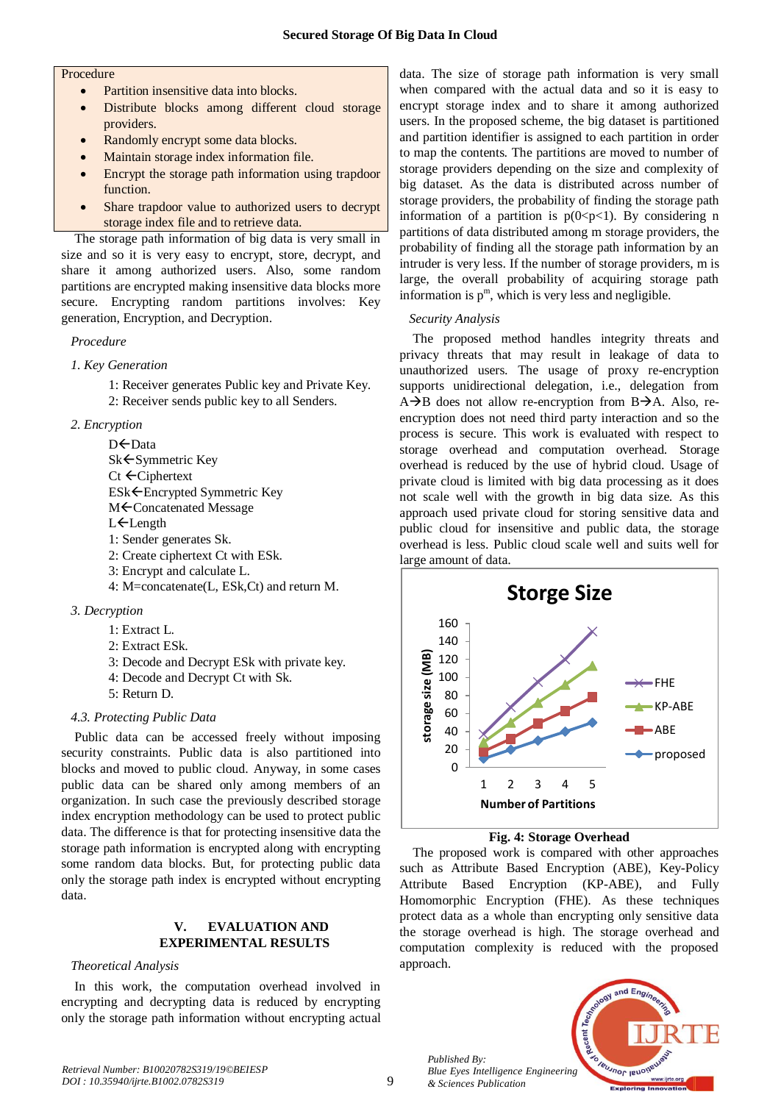#### **Procedure**

- Partition insensitive data into blocks.
- Distribute blocks among different cloud storage providers.
- Randomly encrypt some data blocks.
- Maintain storage index information file.
- Encrypt the storage path information using trapdoor function.
- Share trapdoor value to authorized users to decrypt storage index file and to retrieve data.

The storage path information of big data is very small in size and so it is very easy to encrypt, store, decrypt, and share it among authorized users. Also, some random partitions are encrypted making insensitive data blocks more secure. Encrypting random partitions involves: Key generation, Encryption, and Decryption.

# *Procedure*

- *1. Key Generation*
	- 1: Receiver generates Public key and Private Key.
	- 2: Receiver sends public key to all Senders.

# *2. Encryption*

D←Data Sk ← Symmetric Key Ct ←Ciphertext ESk ← Encrypted Symmetric Key M<sup> $\epsilon$ </sup>Concatenated Message L<sup>E</sup>Length 1: Sender generates Sk.

- 2: Create ciphertext Ct with ESk.
- 3: Encrypt and calculate L.
- 4: M=concatenate(L, ESk,Ct) and return M.
- *3. Decryption*
	- 1: Extract L.
	- 2: Extract ESk.
	- 3: Decode and Decrypt ESk with private key.
	- 4: Decode and Decrypt Ct with Sk.
	- 5: Return D.

# *4.3. Protecting Public Data*

Public data can be accessed freely without imposing security constraints. Public data is also partitioned into blocks and moved to public cloud. Anyway, in some cases public data can be shared only among members of an organization. In such case the previously described storage index encryption methodology can be used to protect public data. The difference is that for protecting insensitive data the storage path information is encrypted along with encrypting some random data blocks. But, for protecting public data only the storage path index is encrypted without encrypting data.

# **V. EVALUATION AND EXPERIMENTAL RESULTS**

# *Theoretical Analysis*

In this work, the computation overhead involved in encrypting and decrypting data is reduced by encrypting only the storage path information without encrypting actual data. The size of storage path information is very small when compared with the actual data and so it is easy to encrypt storage index and to share it among authorized users. In the proposed scheme, the big dataset is partitioned and partition identifier is assigned to each partition in order to map the contents. The partitions are moved to number of storage providers depending on the size and complexity of big dataset. As the data is distributed across number of storage providers, the probability of finding the storage path information of a partition is  $p(0 \le p \le 1)$ . By considering n partitions of data distributed among m storage providers, the probability of finding all the storage path information by an intruder is very less. If the number of storage providers, m is large, the overall probability of acquiring storage path information is  $p^m$ , which is very less and negligible.

# *Security Analysis*

The proposed method handles integrity threats and privacy threats that may result in leakage of data to unauthorized users. The usage of proxy re-encryption supports unidirectional delegation, i.e., delegation from  $A\rightarrow B$  does not allow re-encryption from  $B\rightarrow A$ . Also, reencryption does not need third party interaction and so the process is secure. This work is evaluated with respect to storage overhead and computation overhead. Storage overhead is reduced by the use of hybrid cloud. Usage of private cloud is limited with big data processing as it does not scale well with the growth in big data size. As this approach used private cloud for storing sensitive data and public cloud for insensitive and public data, the storage overhead is less. Public cloud scale well and suits well for large amount of data.



## **Fig. 4: Storage Overhead**

The proposed work is compared with other approaches such as Attribute Based Encryption (ABE), Key-Policy Attribute Based Encryption (KP-ABE), and Fully Homomorphic Encryption (FHE). As these techniques protect data as a whole than encrypting only sensitive data the storage overhead is high. The storage overhead and computation complexity is reduced with the proposed approach.



*Published By:*

*& Sciences Publication*